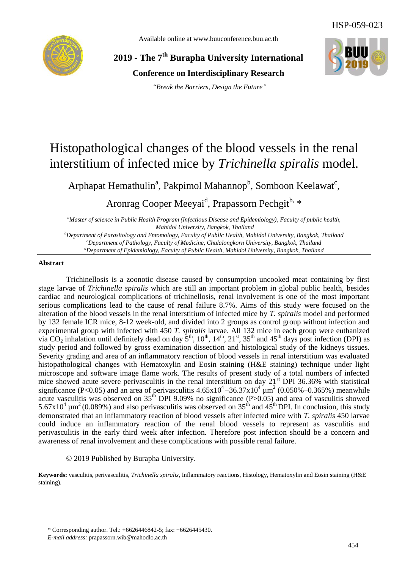Available online at www.buuconference.buu.ac.th



**2019 - The 7th Burapha University International** 

**Conference on Interdisciplinary Research**

*"Break the Barriers, Design the Future"*



# Histopathological changes of the blood vessels in the renal interstitium of infected mice by *Trichinella spiralis* model.

Arphapat Hemathulin<sup>a</sup>, Pakpimol Mahannop<sup>b</sup>, Somboon Keelawat<sup>c</sup>,

Aronrag Cooper Meeyai<sup>d</sup>, Prapassorn Pechgit<sup>b, \*</sup>

*<sup>a</sup>Master of science in Public Health Program (Infectious Disease and Epidemiology), Faculty of public health, Mahidol University, Bangkok, Thailand <sup>b</sup>Department of Parasitology and Entomology, Faculty of Public Health, Mahidol University, Bangkok, Thailand*

*<sup>c</sup>Department of Pathology, Faculty of Medicine, Chulalongkorn University, Bangkok, Thailand <sup>d</sup>Department of Epidemiology, Faculty of Public Health, Mahidol University, Bangkok, Thailand* 

## **Abstract**

Trichinellosis is a zoonotic disease caused by consumption uncooked meat containing by first stage larvae of *Trichinella spiralis* which are still an important problem in global public health, besides cardiac and neurological complications of trichinellosis, renal involvement is one of the most important serious complications lead to the cause of renal failure 8.7%. Aims of this study were focused on the alteration of the blood vessels in the renal interstitium of infected mice by *T. spiralis* model and performed by 132 female ICR mice, 8-12 week-old, and divided into 2 groups as control group without infection and experimental group with infected with 450 *T. spiralis* larvae. All 132 mice in each group were euthanized via CO<sub>2</sub> inhalation until definitely dead on day  $5^{th}$ ,  $10^{th}$ ,  $14^{th}$ ,  $21^{st}$ ,  $35^{th}$  and  $45^{th}$  days post infection (DPI) as study period and followed by gross examination dissection and histological study of the kidneys tissues. Severity grading and area of an inflammatory reaction of blood vessels in renal interstitium was evaluated histopathological changes with Hematoxylin and Eosin staining (H&E staining) technique under light microscope and software image flame work. The results of present study of a total numbers of infected mice showed acute severe perivasculitis in the renal interstitium on day 21<sup>st</sup> DPI 36.36% with statistical significance (P<0.05) and an area of perivasculitis  $4.65 \times 10^4 - 36.37 \times 10^4 \mu m^2$  (0.050%–0.365%) meanwhile acute vasculitis was observed on  $35<sup>th</sup>$  DPI 9.09% no significance (P>0.05) and area of vasculitis showed 5.67x10<sup>4</sup>  $\mu$ m<sup>2</sup> (0.089%) and also perivasculitis was observed on 35<sup>th</sup> and 45<sup>th</sup> DPI. In conclusion, this study demonstrated that an inflammatory reaction of blood vessels after infected mice with *T. spiralis* 450 larvae could induce an inflammatory reaction of the renal blood vessels to represent as vasculitis and perivasculitis in the early third week after infection. Therefore post infection should be a concern and awareness of renal involvement and these complications with possible renal failure. 454 HSP-059-023

## © 2019 Published by Burapha University.

**Keywords:** vasculitis, perivasculitis, *Trichinella spiralis*, Inflammatory reactions, Histology, Hematoxylin and Eosin staining (H&E staining).

<sup>\*</sup> Corresponding author. Tel.: +6626446842-5; fax: +6626445430.

*E-mail address:* prapassorn.wib@mahodlo.ac.th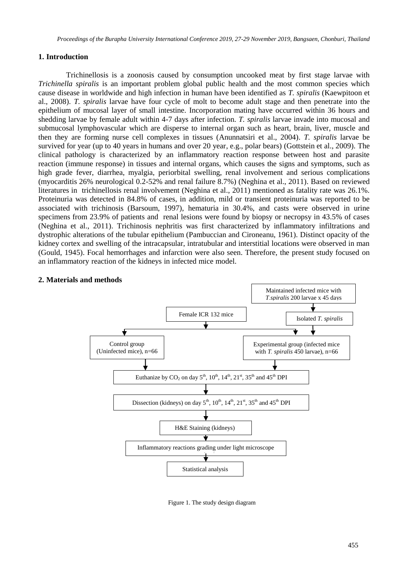## **1. Introduction**

Trichinellosis is a zoonosis caused by consumption uncooked meat by first stage larvae with *Trichinella spiralis* is an important problem global public health and the most common species which cause disease in worldwide and high infection in human have been identified as *T. spiralis* (Kaewpitoon et al., 2008). *T. spiralis* larvae have four cycle of molt to become adult stage and then penetrate into the epithelium of mucosal layer of small intestine. Incorporation mating have occurred within 36 hours and shedding larvae by female adult within 4-7 days after infection. *T. spiralis* larvae invade into mucosal and submucosal lymphovascular which are disperse to internal organ such as heart, brain, liver, muscle and then they are forming nurse cell complexes in tissues (Anunnatsiri et al., 2004). *T. spiralis* larvae be survived for year (up to 40 years in humans and over 20 year, e.g., polar bears) (Gottstein et al., 2009). The clinical pathology is characterized by an inflammatory reaction response between host and parasite reaction (immune response) in tissues and internal organs, which causes the signs and symptoms, such as high grade fever, diarrhea, myalgia, periorbital swelling, renal involvement and serious complications (myocarditis 26% neurological 0.2-52% and renal failure 8.7%) (Neghina et al., 2011). Based on reviewed literatures in trichinellosis renal involvement (Neghina et al., 2011) mentioned as fatality rate was 26.1%. Proteinuria was detected in 84.8% of cases, in addition, mild or transient proteinuria was reported to be associated with trichinosis (Barsoum, 1997), hematuria in 30.4%, and casts were observed in urine specimens from 23.9% of patients and renal lesions were found by biopsy or necropsy in 43.5% of cases (Neghina et al., 2011). Trichinosis nephritis was first characterized by inflammatory infiltrations and dystrophic alterations of the tubular epithelium (Pambuccian and Cironeanu, 1961). Distinct opacity of the kidney cortex and swelling of the intracapsular, intratubular and interstitial locations were observed in man (Gould, 1945). Focal hemorrhages and infarction were also seen. Therefore, the present study focused on an inflammatory reaction of the kidneys in infected mice model.



## **2. Materials and methods**

Figure 1. The study design diagram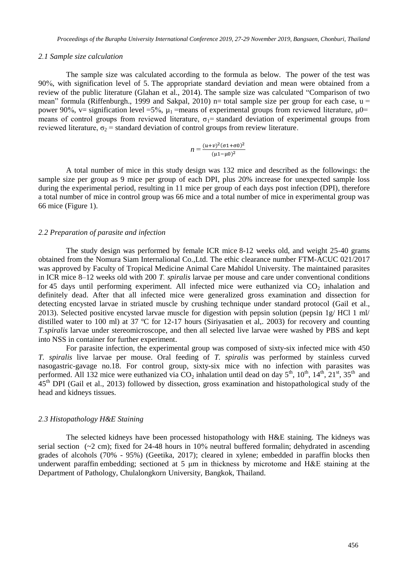### *2.1 Sample size calculation*

The sample size was calculated according to the formula as below. The power of the test was 90 %, with signification level of 5. The appropriate standard deviation and mean were obtained from a review of the public literature (Glahan et al., 2014). The sample size was calculated "Comparison of two mean" formula (Riffenburgh., 1999 and Sakpal, 2010) n= total sample size per group for each case,  $u =$ power 90%, v= signification level =5%,  $\mu_1$  =means of experimental groups from reviewed literature,  $\mu$ 0= means of control groups from reviewed literature,  $\sigma_1$  = standard deviation of experimental groups from reviewed literature,  $\sigma_2$  = standard deviation of control groups from review literature.

$$
n = \frac{(u+v)^2(\sigma 1 + \sigma 0)^2}{(\mu 1 - \mu 0)^2}
$$

A total number of mice in this study design was 132 mice and described as the followings: the sample size per group as 9 mice per group of each DPI, plus 20% increase for unexpected sample loss during the experimental period, resulting in 11 mice per group of each days post infection (DPI), therefore a total number of mice in control group was 66 mice and a total number of mice in experimental group was 66 mice (Figure 1).

#### *2.2 Preparation of parasite and infection*

The study design was performed by female ICR mice 8-12 weeks old, and weight 25-40 grams obtained from the Nomura Siam Internalional Co.,Ltd. The ethic clearance number FTM-ACUC 021 /2017 was approved by Faculty of Tropical Medicine Animal Care Mahidol University. The maintained parasites in ICR mice 8–12 weeks old with 200 *T . spiralis* larvae per mouse and care under conventional conditions for 45 days until performing experiment. All infected mice were euthanized via  $CO<sub>2</sub>$  inhalation and definitely dead. After that all infected mice were generalized gross examination and dissection for detecting encysted larvae in striated muscle by crushing technique under standard protocol (Gail et al., 2013). Selected positive encysted larvae muscle for digestion with pepsin solution (pepsin 1g/ HCl 1 ml/ distilled water to 100 ml) at 37 °C for 12-17 hours (Siriyasatien et al,. 2003) for recovery and counting *T .spiralis* larvae under stereomicroscope, and then all selected live larvae were washed by PBS and kept into NSS in container for further experiment.

For parasite infection, the experimental group was composed of sixty-six infected mice with 450 *T. spiralis* live larvae per mouse. Oral feeding of *T. spiralis* was performed by stainless curved nasogastric-gavage no.18. For control group, sixty-six mice with no infection with parasites was performed. All 132 mice were euthanized via  $CO<sub>2</sub>$  inhalation until dead on day  $5<sup>th</sup>$ ,  $10<sup>th</sup>$ ,  $14<sup>th</sup>$ ,  $21<sup>st</sup>$ ,  $35<sup>th</sup>$  and 45th DPI (Gail et al., 2013) followed by dissection, gross examination and histopathological study of the head and kidneys tissues.

## *2.3 Histopathology H&E Staining*

The selected kidneys have been processed histopathology with H&E staining. The kidneys was serial section  $\left(\sim 2 \text{ cm}\right)$ ; fixed for 24-48 hours in 10% neutral buffered formalin; dehydrated in ascending grades of alcohols (70% - 95%) (Geetika, 2017); cleared in xylene; embedded in paraffin blocks then underwent paraffin embedding; sectioned at 5 μm in thickness by microtome and H&E staining at the Department of Pathology, Chulalongkorn University, Bangkok, Thailand.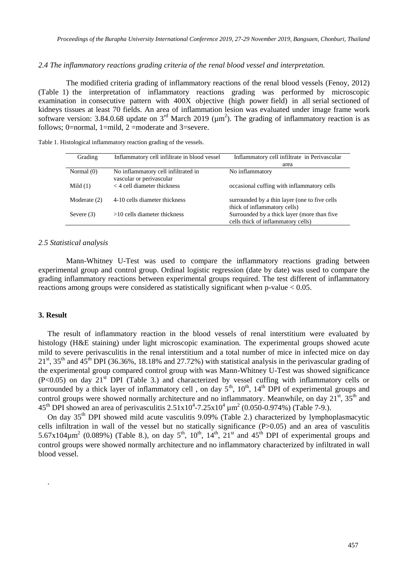### *2.4 The inflammatory reactions grading criteria of the renal blood vessel and interpretation.*

The modified criteria grading of inflammatory reactions of the renal blood vessels (Fenoy, 2012) (Table 1) the interpretation of inflammatory reactions grading was performed by microscopic examination in consecutive pattern with 400X objective (high power field) in all serial sectioned of kidneys tissues at least 70 fields. An area of inflammation lesion was evaluated under image frame work software version: 3.84.0.68 update on  $3<sup>rd</sup>$  March 2019 ( $\mu$ m<sup>2</sup>). The grading of inflammatory reaction is as follows; 0=normal, 1=mild, 2 =moderate and 3=severe.

| Grading      | Inflammatory cell infiltrate in blood vessel | Inflammatory cell infiltrate in Perivascular  |
|--------------|----------------------------------------------|-----------------------------------------------|
|              |                                              | area                                          |
| Normal $(0)$ | No inflammatory cell infiltrated in          | No inflammatory                               |
|              | vascular or perivascular                     |                                               |
| Mild $(1)$   | $<$ 4 cell diameter thickness                | occasional cuffing with inflammatory cells    |
|              |                                              |                                               |
| Moderate (2) | 4-10 cells diameter thickness                | surrounded by a thin layer (one to five cells |
|              |                                              | thick of inflammatory cells)                  |
| Severe $(3)$ | $>10$ cells diameter thickness               | Surrounded by a thick layer (more than five   |
|              |                                              | cells thick of inflammatory cells)            |

Table 1. Histological inflammatory reaction grading of the vessels.

#### *2.5 Statistical analysis*

Mann-Whitney U-Test was used to compare the inflammatory reactions grading between experimental group and control group. Ordinal logistic regression (date by date) was used to compare the grading inflammatory reactions between experimental groups required. The test different of inflammatory reactions among groups were considered as statistically significant when p-value < 0.05.

## **3. Result**

.

The result of inflammatory reaction in the blood vessels of renal interstitium were evaluated by histology (H&E staining) under light microscopic examination. The experimental groups showed acute mild to severe perivasculitis in the renal interstitium and a total number of mice in infected mice on day  $21<sup>st</sup>$ ,  $35<sup>th</sup>$  and  $45<sup>th</sup>$  DPI (36.36%, 18.18% and 27.72%) with statistical analysis in the perivascular grading of the experimental group compared control group with was Mann-Whitney U-Test was showed significance  $(P<0.05)$  on day 21<sup>st</sup> DPI (Table 3.) and characterized by vessel cuffing with inflammatory cells or surrounded by a thick layer of inflammatory cell, on day  $5<sup>th</sup>$ ,  $10<sup>th</sup>$ ,  $14<sup>th</sup>$  DPI of experimental groups and control groups were showed normally architecture and no inflammatory. Meanwhile, on day  $21^{st}$ ,  $35^{th}$  and 45<sup>th</sup> DPI showed an area of perivasculitis  $2.51 \times 10^4$ -7.25 $\times 10^4$  µm<sup>2</sup> (0.050-0.974%) (Table 7-9.).

On day  $35<sup>th</sup>$  DPI showed mild acute vasculitis 9.09% (Table 2.) characterized by lymphoplasmacytic cells infiltration in wall of the vessel but no statically significance  $(P>0.05)$  and an area of vasculitis  $5.67 \times 104 \mu m^2$  (0.089%) (Table 8.), on day  $5<sup>th</sup>$ ,  $10<sup>th</sup>$ ,  $14<sup>th</sup>$ ,  $21<sup>st</sup>$  and  $45<sup>th</sup>$  DPI of experimental groups and control groups were showed normally architecture and no inflammatory characterized by infiltrated in wall blood vessel.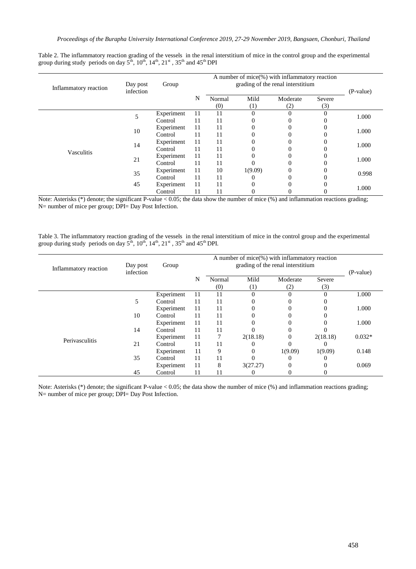Table 2. The inflammatory reaction grading of the vessels in the renal interstitium of mice in the control group and the experimental group during study periods on day  $5^{th}$ ,  $10^{th}$ ,  $14^{th}$ ,  $21^{st}$ ,  $35^{th}$  and  $45^{th}$  DPI

| Inflammatory reaction | Day post  | Group      |    |               |             |                 |               |           |  |
|-----------------------|-----------|------------|----|---------------|-------------|-----------------|---------------|-----------|--|
|                       | infection |            | N  | Normal<br>(0) | Mild<br>(1) | Moderate<br>(2) | Severe<br>(3) | (P-value) |  |
|                       | 5         | Experiment | 11 | 11            | $\Omega$    | $\Omega$        | $\theta$      |           |  |
|                       |           | Control    | 11 | 11            | $\Omega$    |                 |               | 1.000     |  |
|                       | 10        | Experiment | 11 | 11            | $\Omega$    |                 |               | 1.000     |  |
|                       |           | Control    | 11 | 11            | $\Omega$    |                 |               |           |  |
|                       | 14        | Experiment | 11 | 11            | $\theta$    | 0               | $\Omega$      | 1.000     |  |
| Vasculitis            |           | Control    | 11 | 11            | $\theta$    |                 |               |           |  |
|                       | 21        | Experiment | 11 | 11            | $\theta$    |                 | υ             | 1.000     |  |
|                       |           | Control    | 11 | 11            |             |                 |               |           |  |
|                       | 35        | Experiment | 11 | 10            | 1(9.09)     | 0               | $\Omega$      | 0.998     |  |
|                       |           | Control    | 11 | 11            | $\Omega$    | 0               |               |           |  |
|                       | 45        | Experiment | 11 | 11            | $\Omega$    |                 | $\Omega$      | 1.000     |  |
|                       |           | Control    | 11 | 11            | 0           |                 |               |           |  |

Note: Asterisks (\*) denote; the significant P-value  $< 0.05$ ; the data show the number of mice (%) and inflammation reactions grading; N= number of mice per group; DPI= Day Post Infection.

Table 3. The inflammatory reaction grading of the vessels in the renal interstitium of mice in the control group and the experimental group during study periods on day  $5<sup>th</sup>$ ,  $10<sup>th</sup>$ ,  $14<sup>th</sup>$ ,  $21<sup>st</sup>$ ,  $35<sup>th</sup>$  and  $45<sup>th</sup>$  DPI.

| Inflammatory reaction | Day post<br>infection | Group      |    | (P-value)     |             |                 |               |          |
|-----------------------|-----------------------|------------|----|---------------|-------------|-----------------|---------------|----------|
|                       |                       |            | N  | Normal<br>(0) | Mild<br>(1) | Moderate<br>(2) | Severe<br>(3) |          |
|                       |                       | Experiment | 11 | 11            | $\theta$    | $\Omega$        | $\Omega$      | 1.000    |
|                       | 5                     | Control    | 11 | 11            | 0           | $\Omega$        |               |          |
|                       |                       | Experiment | 11 | 11            |             | 0               | $\Omega$      | 1.000    |
|                       | 10                    | Control    | 11 | 11            |             | $\Omega$        |               |          |
|                       |                       | Experiment | 11 | 11            |             | $\Omega$        |               | 1.000    |
|                       | 14                    | Control    | 11 | 11            |             | $\Omega$        |               |          |
| Perivasculitis        |                       | Experiment | 11 | 7             | 2(18.18)    | 0               | 2(18.18)      | $0.032*$ |
|                       | 21                    | Control    | 11 | 11            |             | 0               | $\Omega$      |          |
|                       |                       | Experiment | 11 | 9             | 0           | 1(9.09)         | 1(9.09)       | 0.148    |
|                       | 35                    | Control    | 11 | 11            |             | $\Omega$        | u             |          |
|                       |                       | Experiment | 11 | 8             | 3(27.27)    | $\Omega$        | $\Omega$      | 0.069    |
|                       | 45                    | Control    | 11 | 11            |             | $\Omega$        | 0             |          |

Note: Asterisks (\*) denote; the significant P-value < 0.05; the data show the number of mice (%) and inflammation reactions grading; N= number of mice per group; DPI= Day Post Infection.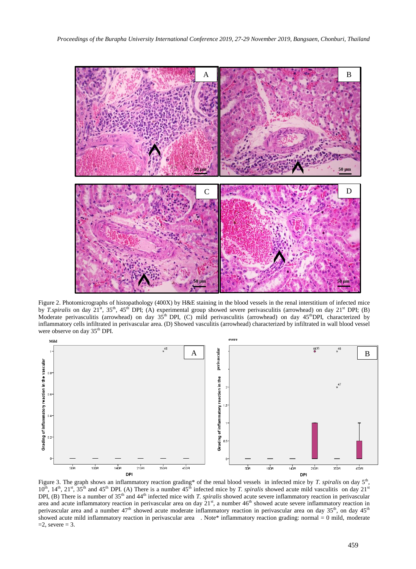

Figure 2. Photomicrographs of histopathology (400X) by H&E staining in the blood vessels in the renal interstitium of infected mice by *T.spiralis* on day 21<sup>st</sup>, 35<sup>th</sup>, 45<sup>th</sup> DPI; (A) experimental group showed severe perivasculitis (arrowhead) on day 21<sup>st</sup> DPI; (B) Moderate perivasculitis (arrowhead) on day  $35<sup>th</sup>$  DPI, (C) mild perivasculitis (arrowhead) on day  $45<sup>th</sup>$ DPI, characterized by inflammatory cells infiltrated in perivascular area. (D) Showed vasculitis (arrowhead) characterized by infiltrated in wall blood vessel were observe on day 35<sup>th</sup> DPI.



Figure 3. The graph shows an inflammatory reaction grading<sup>\*</sup> of the renal blood vessels in infected mice by *T. spiralis* on day 5<sup>th</sup>,  $10^{th}$ ,  $14^{th}$ ,  $21^{st}$ ,  $35^{th}$  and  $45^{th}$  DPI. (A) There is a number  $45^{th}$  infected mice by *T. spiralis* showed acute mild vasculitis on day  $21^{st}$ DPI, (B) There is a number of 35<sup>th</sup> and 44<sup>th</sup> infected mice with *T. spiralis* showed acute severe inflammatory reaction in perivascular area and acute inflammatory reaction in perivascular area on day  $21^{st}$ , a number  $46^{th}$  showed acute severe inflammatory reaction in perivascular area and a number  $47<sup>th</sup>$  showed acute moderate inflammatory reaction in perivascular area on day  $35<sup>th</sup>$ , on day  $45<sup>th</sup>$ showed acute mild inflammatory reaction in perivascular area . Note\* inflammatory reaction grading: normal = 0 mild, moderate  $=2$ , severe  $= 3$ .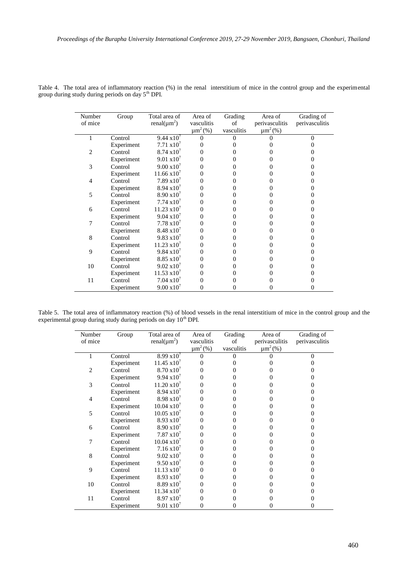| Number         | Group      | Total area of                 | Area of                  | Grading    | Area of        | Grading of     |
|----------------|------------|-------------------------------|--------------------------|------------|----------------|----------------|
| of mice        |            | renal( $\mu$ m <sup>2</sup> ) | vasculitis               | of         | perivasculitis | perivasculitis |
|                |            |                               | $\mu$ m <sup>2</sup> (%) | vasculitis | $\mu m^2$ (%)  |                |
| 1              | Control    | $9.44 \times 10^{7}$          |                          | 0          |                | 0              |
|                | Experiment | $7.71 \times 10^7$            |                          |            |                |                |
| $\overline{c}$ | Control    | $8.74 \times 10^{7}$          |                          |            |                |                |
|                | Experiment | $9.01 \times 10^{7}$          |                          |            |                |                |
| 3              | Control    | $9.00 \times 10^{7}$          |                          |            |                |                |
|                | Experiment | $11.66 \times 10^7$           |                          |            |                |                |
| 4              | Control    | $7.89 \times 10^{7}$          |                          |            |                |                |
|                | Experiment | $8.94 \times 10^{7}$          |                          |            |                |                |
| 5              | Control    | $8.90 \times 10^{7}$          |                          |            |                |                |
|                | Experiment | $7.74 \times 10^{7}$          |                          |            |                |                |
| 6              | Control    | $11.23 \text{ x}10^7$         |                          |            |                |                |
|                | Experiment | $9.04 \times 10^{7}$          |                          |            |                |                |
|                | Control    | $7.78 \times 10^{7}$          |                          |            |                |                |
|                | Experiment | $8.48 \times 10^{7}$          |                          |            |                |                |
| 8              | Control    | $9.83 \times 10^{7}$          |                          |            |                |                |
|                | Experiment | $11.23 \times 10^7$           |                          |            |                |                |
| 9              | Control    | $9.84 \times 10^{7}$          |                          |            |                |                |
|                | Experiment | $8.85 \times 10^{7}$          |                          |            |                |                |
| 10             | Control    | $9.02 \times 10^{7}$          |                          |            |                |                |
|                | Experiment | $11.53 \times 10^7$           |                          |            |                |                |
| 11             | Control    | $7.04 \times 10^7$            |                          |            |                |                |
|                | Experiment | $9.00 \times 10^{7}$          |                          |            |                |                |

|  | Table 4. The total area of inflammatory reaction (%) in the renal interstitium of mice in the control group and the experimental |  |  |  |  |  |
|--|----------------------------------------------------------------------------------------------------------------------------------|--|--|--|--|--|
|  | group during study during periods on day 5 <sup>th</sup> DPI.                                                                    |  |  |  |  |  |

Table 5. The total area of inflammatory reaction (%) of blood vessels in the renal interstitium of mice in the control group and the experimental group during study during periods on day 10<sup>th</sup> DPI.

| Number<br>of mice | Group      | Total area of<br>renal( $\mu$ m <sup>2</sup> ) | Area of<br>vasculitis<br>$\mu m^2$ (%) | Grading<br>of<br>vasculitis | Area of<br>perivasculitis<br>$\mu m^2$ (%) | Grading of<br>perivasculitis |
|-------------------|------------|------------------------------------------------|----------------------------------------|-----------------------------|--------------------------------------------|------------------------------|
| 1                 | Control    | $8.99 \times 10^{7}$                           |                                        | $\Omega$                    |                                            |                              |
|                   | Experiment | $11.45 \text{ x}10^7$                          | 0                                      |                             |                                            |                              |
| $\overline{2}$    | Control    | $8.70 \times 10^{7}$                           | 0                                      |                             |                                            |                              |
|                   | Experiment | $9.94 \times 10^{7}$                           | 0                                      |                             |                                            |                              |
| 3                 | Control    | $11.20 \times 10^7$                            | 0                                      |                             |                                            |                              |
|                   | Experiment | $8.94 \times 10'$                              | 0                                      | 0                           |                                            |                              |
| $\overline{4}$    | Control    | $8.98 \times 10^{7}$                           | 0                                      | 0                           |                                            |                              |
|                   | Experiment | $10.04 \times 10^{7}$                          | Ω                                      |                             |                                            |                              |
| 5                 | Control    | $10.05 \times 10^7$                            | 0                                      |                             |                                            |                              |
|                   | Experiment | $8.93 \times 10^{7}$                           |                                        |                             |                                            |                              |
| 6                 | Control    | $8.90 \times 10^{7}$                           | 0                                      |                             |                                            |                              |
|                   | Experiment | $7.87 \times 10^7$                             | 0                                      |                             |                                            |                              |
| 7                 | Control    | $10.04 \times 10^{7}$                          | 0                                      | 0                           |                                            |                              |
|                   | Experiment | $7.16 \times 10^7$                             | 0                                      |                             |                                            |                              |
| 8                 | Control    | $9.02 \times 10^{7}$                           | Ω                                      |                             |                                            |                              |
|                   | Experiment | $9.50 \times 10^{7}$                           | 0                                      |                             |                                            |                              |
| 9                 | Control    | $11.13 \text{ x}10^7$                          |                                        |                             |                                            |                              |
|                   | Experiment | $8.93 \times 10^{7}$                           |                                        |                             |                                            |                              |
| 10                | Control    | $8.89 \times 10^{7}$                           |                                        |                             |                                            |                              |
|                   | Experiment | $11.34 \text{ x}10^7$                          | 0                                      |                             |                                            |                              |
| 11                | Control    | $8.97 \times 10^{7}$                           | 0                                      | 0                           |                                            |                              |
|                   | Experiment | $9.01 \times 10^{7}$                           | 0                                      | 0                           |                                            |                              |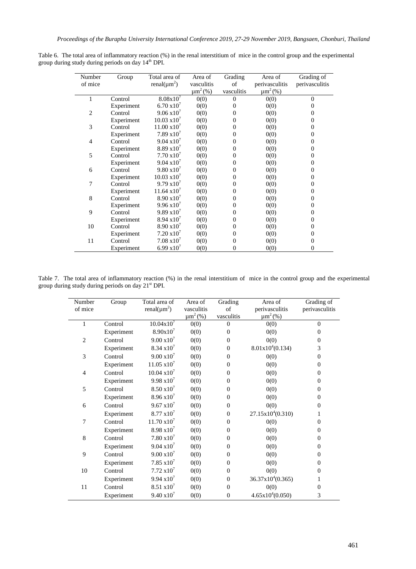| Number         | Group      | Total area of                 | Area of       | Grading      | Area of        | Grading of     |
|----------------|------------|-------------------------------|---------------|--------------|----------------|----------------|
| of mice        |            | renal( $\mu$ m <sup>2</sup> ) | vasculitis    | of           | perivasculitis | perivasculitis |
|                |            |                               | $\mu m^2$ (%) | vasculitis   | $\mu m^2$ (%)  |                |
| 1              | Control    | $8.08x10^{7}$                 | 0(0)          | $\theta$     | 0(0)           | $\Omega$       |
|                | Experiment | $6.70 \times 10^{7}$          | 0(0)          | $\Omega$     | 0(0)           | 0              |
| $\overline{2}$ | Control    | $9.06 \times 10^{7}$          | 0(0)          | $\Omega$     | 0(0)           | $^{(1)}$       |
|                | Experiment | $10.03 \times 10^{7}$         | 0(0)          | $\Omega$     | 0(0)           | 0              |
| 3              | Control    | $11.00 \times 10^{7}$         | 0(0)          | $\Omega$     | 0(0)           | $^{(1)}$       |
|                | Experiment | $7.89 \times 10^{7}$          | 0(0)          | $\Omega$     | 0(0)           | $\Omega$       |
| 4              | Control    | $9.04 \times 10^{7}$          | 0(0)          | $\Omega$     | 0(0)           | $^{(1)}$       |
|                | Experiment | $8.89 \times 10^{7}$          | 0(0)          | $\mathbf{0}$ | 0(0)           | $\Omega$       |
| 5              | Control    | $7.70 \times 10^{7}$          | 0(0)          | $\mathbf{0}$ | 0(0)           | $\Omega$       |
|                | Experiment | $9.04 \times 10^{7}$          | 0(0)          | $\mathbf{0}$ | 0(0)           | $\Omega$       |
| 6              | Control    | $9.80 \times 10^{7}$          | 0(0)          | $\mathbf{0}$ | 0(0)           | $^{(1)}$       |
|                | Experiment | $10.03 \times 10^{7}$         | 0(0)          | $\mathbf{0}$ | 0(0)           | $\Omega$       |
| 7              | Control    | $9.79 \times 10^{7}$          | 0(0)          | $\mathbf{0}$ | 0(0)           | 0              |
|                | Experiment | $11.64 \text{ x}10^{7}$       | 0(0)          | $\mathbf{0}$ | 0(0)           | $\Omega$       |
| 8              | Control    | $8.90 \times 10^{7}$          | 0(0)          | $\mathbf{0}$ | 0(0)           | 0              |
|                | Experiment | $9.96 \times 10^{7}$          | 0(0)          | $\mathbf{0}$ | 0(0)           | $\Omega$       |
| 9              | Control    | $9.89 \times 10^{7}$          | 0(0)          | $\mathbf{0}$ | 0(0)           | 0              |
|                | Experiment | $8.94 \times 10^{7}$          | 0(0)          | $\mathbf{0}$ | 0(0)           | $\Omega$       |
| 10             | Control    | $8.90 \times 10^{7}$          | 0(0)          | $\mathbf{0}$ | 0(0)           | $^{(1)}$       |
|                | Experiment | $7.20 \times 10^{7}$          | 0(0)          | $\mathbf{0}$ | 0(0)           | $^{(1)}$       |
| 11             | Control    | $7.08 \times 10^{7}$          | 0(0)          | $\mathbf{0}$ | 0(0)           | $^{(1)}$       |
|                | Experiment | $6.99 \times 10^{7}$          | 0(0)          | $\mathbf{0}$ | 0(0)           | $\Omega$       |

Table 6. The total area of inflammatory reaction (%) in the renal interstitium of mice in the control group and the experimental group during study during periods on day 14<sup>th</sup> DPI.

Table 7. The total area of inflammatory reaction (%) in the renal interstitium of mice in the control group and the experimental group during study during periods on day  $21<sup>st</sup>$  DPI.

| Number         | Group      | Total area of                 | Area of       | Grading          | Area of                      | Grading of     |
|----------------|------------|-------------------------------|---------------|------------------|------------------------------|----------------|
| of mice        |            | renal( $\mu$ m <sup>2</sup> ) | vasculitis    | of               | perivasculitis               | perivasculitis |
|                |            |                               | $\mu m^2$ (%) | vasculitis       | $\mu m^2$ (%)                |                |
| $\mathbf{1}$   | Control    | $10.04 \times 10^{7}$         | 0(0)          | $\overline{0}$   | 0(0)                         | $\Omega$       |
|                | Experiment | $8.90x10^7$                   | 0(0)          | $\overline{0}$   | 0(0)                         | $\theta$       |
| $\overline{2}$ | Control    | $9.00 \times 10^{7}$          | 0(0)          | $\mathbf{0}$     | 0(0)                         | $\Omega$       |
|                | Experiment | $8.34 \times 10^{7}$          | 0(0)          | $\overline{0}$   | 8.01x10 <sup>4</sup> (0.134) | 3              |
| 3              | Control    | $9.00 \times 10^{7}$          | 0(0)          | $\mathbf{0}$     | 0(0)                         | $\overline{0}$ |
|                | Experiment | $11.05 \times 10^7$           | 0(0)          | $\boldsymbol{0}$ | 0(0)                         | $\Omega$       |
| 4              | Control    | $10.04 \times 10^{7}$         | 0(0)          | $\boldsymbol{0}$ | 0(0)                         | $\Omega$       |
|                | Experiment | $9.98 \times 10^{7}$          | 0(0)          | $\boldsymbol{0}$ | 0(0)                         | $\Omega$       |
| 5              | Control    | $8.50 \times 10^7$            | 0(0)          | $\boldsymbol{0}$ | 0(0)                         | $\Omega$       |
|                | Experiment | $8.96 \times 10^{7}$          | 0(0)          | $\boldsymbol{0}$ | 0(0)                         | $\overline{0}$ |
| 6              | Control    | $9.67 \times 10^{7}$          | 0(0)          | $\overline{0}$   | 0(0)                         | $\mathbf{0}$   |
|                | Experiment | $8.77 \times 10^{7}$          | 0(0)          | $\boldsymbol{0}$ | $27.15x10^4(0.310)$          | 1              |
| 7              | Control    | $11.70 \times 10^{7}$         | 0(0)          | $\mathbf{0}$     | 0(0)                         | $\Omega$       |
|                | Experiment | $8.98 \times 10^{7}$          | 0(0)          | $\boldsymbol{0}$ | 0(0)                         | $\overline{0}$ |
| 8              | Control    | $7.80 \times 10^7$            | 0(0)          | $\mathbf{0}$     | 0(0)                         | $\Omega$       |
|                | Experiment | $9.04 \times 10^{7}$          | 0(0)          | $\boldsymbol{0}$ | 0(0)                         | $\Omega$       |
| 9              | Control    | $9.00 \times 10^{7}$          | 0(0)          | $\overline{0}$   | 0(0)                         | $\Omega$       |
|                | Experiment | $7.85 \times 10^7$            | 0(0)          | $\overline{0}$   | 0(0)                         | $\Omega$       |
| 10             | Control    | $7.72 \times 10^7$            | 0(0)          | $\overline{0}$   | 0(0)                         | $\Omega$       |
|                | Experiment | $9.94 \times 10^{7}$          | 0(0)          | $\overline{0}$   | $36.37 \times 10^4 (0.365)$  | 1              |
| 11             | Control    | $8.51 \times 10^7$            | 0(0)          | $\overline{0}$   | 0(0)                         | $\Omega$       |
|                | Experiment | $9.40 \times 10^{7}$          | 0(0)          | $\overline{0}$   | $4.65x10^4(0.050)$           | 3              |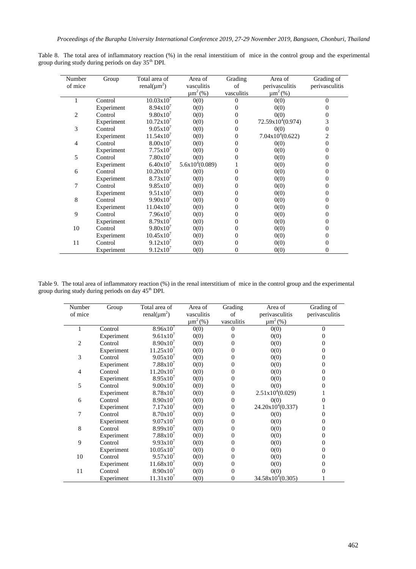|  |                                                                |  |  |  |  | Table 8. The total area of inflammatory reaction (%) in the renal interstitium of mice in the control group and the experimental |
|--|----------------------------------------------------------------|--|--|--|--|----------------------------------------------------------------------------------------------------------------------------------|
|  | group during study during periods on day 35 <sup>th</sup> DPI. |  |  |  |  |                                                                                                                                  |

| Number         | Group      | Total area of                 | Area of           | Grading    | Area of             | Grading of     |
|----------------|------------|-------------------------------|-------------------|------------|---------------------|----------------|
| of mice        |            | renal( $\mu$ m <sup>2</sup> ) | vasculitis        | of         | perivasculitis      | perivasculitis |
|                |            |                               | $\mu m^2$ (%)     | vasculitis | $\mu m^2$ (%)       |                |
|                | Control    | $10.03x10^{7}$                | 0(0)              | $\Omega$   | 0(0)                | $\theta$       |
|                | Experiment | 8.94x10'                      | 0(0)              | $\theta$   | 0(0)                | 0              |
| $\overline{c}$ | Control    | $9.80x10^{7}$                 | 0(0)              | 0          | 0(0)                | 0              |
|                | Experiment | $10.72 \times 10'$            | 0(0)              | 0          | $72.59x10^4(0.974)$ | 3              |
| 3              | Control    | $9.05x10^{7}$                 | 0(0)              | 0          | 0(0)                | 0              |
|                | Experiment | $11.54 \times 10^{7}$         | 0(0)              | 0          | $7.04x10^4(0.622)$  | 2              |
| 4              | Control    | $8.00x10^{7}$                 | 0(0)              | 0          | 0(0)                | $\overline{0}$ |
|                | Experiment | 7.75x10'                      | 0(0)              | 0          | 0(0)                | 0              |
| 5              | Control    | $7.80x10^7$                   | 0(0)              | 0          | 0(0)                | 0              |
|                | Experiment | $6.40x10^{7}$                 | $5.6x10^4(0.089)$ |            | 0(0)                | 0              |
| 6              | Control    | $10.20x10^{7}$                | 0(0)              | 0          | 0(0)                | 0              |
|                | Experiment | $8.73 \times 10^{7}$          | 0(0)              | 0          | 0(0)                | 0              |
| 7              | Control    | $9.85x10^{7}$                 | 0(0)              | 0          | 0(0)                | 0              |
|                | Experiment | $9.51x10^{7}$                 | 0(0)              | 0          | 0(0)                | 0              |
| 8              | Control    | $9.90x10^{7}$                 | 0(0)              | 0          | 0(0)                | 0              |
|                | Experiment | $11.04x10^{7}$                | 0(0)              | 0          | 0(0)                | 0              |
| 9              | Control    | 7.96x10'                      | 0(0)              | 0          | 0(0)                | 0              |
|                | Experiment | $8.79x10^{7}$                 | 0(0)              | 0          | 0(0)                | 0              |
| 10             | Control    | $9.80x10^{7}$                 | 0(0)              | 0          | 0(0)                | 0              |
|                | Experiment | 10.45x10'                     | 0(0)              | 0          | 0(0)                | 0              |
| 11             | Control    | 9.12x10'                      | 0(0)              | 0          | 0(0)                | 0              |
|                | Experiment | 9.12x10'                      | 0(0)              | 0          | 0(0)                | 0              |

Table 9. The total area of inflammatory reaction (%) in the renal interstitium of mice in the control group and the experimental group during study during periods on day 45<sup>th</sup> DPI.

| Number  | Group      | Total area of                 | Area of       | Grading    | Area of                      | Grading of     |
|---------|------------|-------------------------------|---------------|------------|------------------------------|----------------|
| of mice |            | renal( $\mu$ m <sup>2</sup> ) | vasculitis    | of         | perivasculitis               | perivasculitis |
|         |            |                               | $\mu m^2$ (%) | vasculitis | $\mu m^2$ (%)                |                |
| 1       | Control    | $8.96x10^{7}$                 | 0(0)          | $\Omega$   | 0(0)                         | $\theta$       |
|         | Experiment | $9.61x10^{7}$                 | 0(0)          | 0          | 0(0)                         | 0              |
| 2       | Control    | $8.90x10^{7}$                 | 0(0)          |            | 0(0)                         | 0              |
|         | Experiment | $11.25 \times 10^7$           | 0(0)          |            | 0(0)                         | 0              |
| 3       | Control    | $9.05x10^{7}$                 | 0(0)          |            | 0(0)                         | 0              |
|         | Experiment | $7.88x10^{7}$                 | 0(0)          | 0          | 0(0)                         | 0              |
| 4       | Control    | $11.20 \times 10^{7}$         | 0(0)          | 0          | 0(0)                         | 0              |
|         | Experiment | $8.95x10^{7}$                 | 0(0)          | 0          | 0(0)                         | 0              |
| 5       | Control    | 9.00x10'                      | 0(0)          | 0          | 0(0)                         | 0              |
|         | Experiment | $8.78x10^{7}$                 | 0(0)          | 0          | $2.51x10^4(0.029)$           |                |
| 6       | Control    | 8.90x10'                      | 0(0)          | 0          | 0(0)                         | 0              |
|         | Experiment | 7.17x10 <sup>7</sup>          | 0(0)          | $\Omega$   | $24.20x10^4(0.337)$          |                |
| 7       | Control    | 8.70x10'                      | 0(0)          | 0          | 0(0)                         | 0              |
|         | Experiment | $9.07x10^{7}$                 | 0(0)          | 0          | 0(0)                         | 0              |
| 8       | Control    | $8.99x10^{7}$                 | 0(0)          | 0          | 0(0)                         | 0              |
|         | Experiment | $7.88 \times 10^7$            | 0(0)          | 0          | 0(0)                         | 0              |
| 9       | Control    | $9.93 \times 10^{7}$          | 0(0)          |            | 0(0)                         | 0              |
|         | Experiment | $10.05x10^{7}$                | 0(0)          |            | 0(0)                         | 0              |
| 10      | Control    | $9.57 \times 10^{7}$          | 0(0)          | 0          | 0(0)                         | 0              |
|         | Experiment | $11.68 \times 10^7$           | 0(0)          | 0          | 0(0)                         | 0              |
| 11      | Control    | $8.90x10^{7}$                 | 0(0)          | $\Omega$   | 0(0)                         | 0              |
|         | Experiment | 11.31x10'                     | 0(0)          | 0          | $34.58 \times 10^{4}(0.305)$ |                |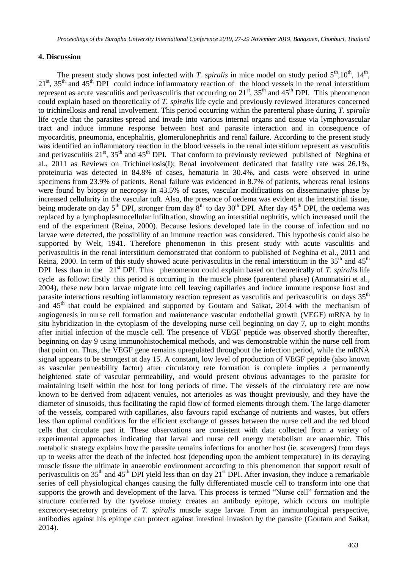## **4. Discussion**

The present study shows post infected with *T. spiralis* in mice model on study period  $5<sup>th</sup>$ ,  $10<sup>th</sup>$ ,  $14<sup>th</sup>$ ,  $21<sup>st</sup>$ ,  $35<sup>th</sup>$  and  $45<sup>th</sup>$  DPI could induce inflammatory reaction of the blood vessels in the renal interstitium represent as acute vasculitis and perivasculitis that occurring on  $21<sup>st</sup>$ ,  $35<sup>th</sup>$  and  $45<sup>th</sup>$  DPI. This phenomenon could explain based on theoretically of *T. spiralis* life cycle and previously reviewed literatures concerned to trichinellosis and renal involvement. This period occurring within the parenteral phase during *T. spiralis* life cycle that the parasites spread and invade into various internal organs and tissue via lymphovascular tract and induce immune response between host and parasite interaction and in consequence of myocarditis, pneumonia, encephalitis, glomerulonephritis and renal failure. According to the present study was identified an inflammatory reaction in the blood vessels in the renal interstitium represent as vasculitis and perivasculitis  $21<sup>st</sup>$ ,  $35<sup>th</sup>$  and  $45<sup>th</sup>$  DPI. That conform to previously reviewed published of Neghina et al., 2011 as Reviews on Trichinellosis(I); Renal involvement dedicated that fatality rate was 26.1%, proteinuria was detected in 84.8% of cases, hematuria in 30.4%, and casts were observed in urine specimens from 23.9% of patients. Renal failure was evidenced in 8.7% of patients, whereas renal lesions were found by biopsy or necropsy in 43.5% of cases, vascular modifications on disseminative phase by increased cellularity in the vascular tuft. Also, the presence of oedema was evident at the interstitial tissue, being moderate on day  $5<sup>th</sup>$  DPI, stronger from day  $8<sup>th</sup>$  to day  $30<sup>th</sup>$  DPI. After day  $45<sup>th</sup>$  DPI, the oedema was replaced by a lymphoplasmocellular infiltration, showing an interstitial nephritis, which increased until the end of the experiment (Reina, 2000). Because lesions developed late in the course of infection and no larvae were detected, the possibility of an immune reaction was considered. This hypothesis could also be supported by Welt, 1941. Therefore phenomenon in this present study with acute vasculitis and perivasculitis in the renal interstitium demonstrated that conform to published of Neghina et al., 2011 and Reina, 2000. In term of this study showed acute perivasculitis in the renal interstitium in the  $35<sup>th</sup>$  and  $45<sup>th</sup>$ DPI less than in the 21<sup>st</sup> DPI. This phenomenon could explain based on theoretically of *T. spiralis* life cycle as follow: firstly this period is occurring in the muscle phase (parenteral phase) (Anunnatsiri et al., 2004), these new born larvae migrate into cell leaving capillaries and induce immune response host and parasite interactions resulting inflammatory reaction represent as vasculitis and perivasculitis on days 35<sup>th</sup> and  $45<sup>th</sup>$  that could be explained and supported by Goutam and Saikat, 2014 with the mechanism of angiogenesis in nurse cell formation and maintenance vascular endothelial growth (VEGF) mRNA by in situ hybridization in the cytoplasm of the developing nurse cell beginning on day 7, up to eight months after initial infection of the muscle cell. The presence of VEGF peptide was observed shortly thereafter, beginning on day 9 using immunohistochemical methods, and was demonstrable within the nurse cell from that point on. Thus, the VEGF gene remains upregulated throughout the infection period, while the mRNA signal appears to be strongest at day 15. A constant, low level of production of VEGF peptide (also known as vascular permeability factor) after circulatory rete formation is complete implies a permanently heightened state of vascular permeability, and would present obvious advantages to the parasite for maintaining itself within the host for long periods of time. The vessels of the circulatory rete are now known to be derived from adjacent venules, not arterioles as was thought previously, and they have the diameter of sinusoids, thus facilitating the rapid flow of formed elements through them. The large diameter of the vessels, compared with capillaries, also favours rapid exchange of nutrients and wastes, but offers less than optimal conditions for the efficient exchange of gasses between the nurse cell and the red blood cells that circulate past it. These observations are consistent with data collected from a variety of experimental approaches indicating that larval and nurse cell energy metabolism are anaerobic. This metabolic strategy explains how the parasite remains infectious for another host (ie. scavengers) from days up to weeks after the death of the infected host (depending upon the ambient temperature) in its decaying muscle tissue the ultimate in anaerobic environment according to this phenomenon that support result of perivasculitis on 35<sup>th</sup> and 45<sup>th</sup> DPI yield less than on day 21<sup>st</sup> DPI. After invasion, they induce a remarkable series of cell physiological changes causing the fully differentiated muscle cell to transform into one that supports the growth and development of the larva. This process is termed "Nurse cell" formation and the structure conferred by the tyvelose moiety creates an antibody epitope, which occurs on multiple excretory-secretory proteins of *T. spiralis* muscle stage larvae. From an immunological perspective, antibodies against his epitope can protect against intestinal invasion by the parasite (Goutam and Saikat, 2014).